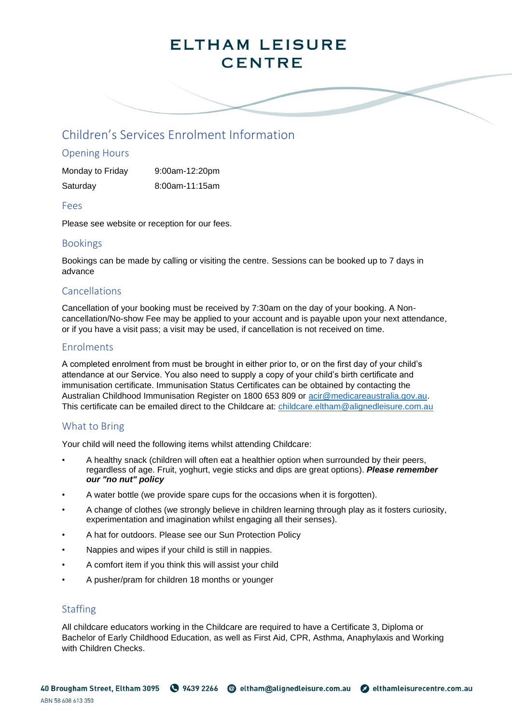# **ELTHAM LEISURE CENTRE**

# Children's Services Enrolment Information

### Opening Hours

| Monday to Friday | $9:00$ am-12:20pm |
|------------------|-------------------|
| Saturday         | 8:00am-11:15am    |

### Fees

Please see website or reception for our fees.

### Bookings

Bookings can be made by calling or visiting the centre. Sessions can be booked up to 7 days in advance

### Cancellations

Cancellation of your booking must be received by 7:30am on the day of your booking. A Noncancellation/No-show Fee may be applied to your account and is payable upon your next attendance, or if you have a visit pass; a visit may be used, if cancellation is not received on time.

### Enrolments

A completed enrolment from must be brought in either prior to, or on the first day of your child's attendance at our Service. You also need to supply a copy of your child's birth certificate and immunisation certificate. Immunisation Status Certificates can be obtained by contacting the Australian Childhood Immunisation Register on 1800 653 809 or [acir@medicareaustralia.gov.au.](mailto:acir@medicareaustralia.gov.au) This certificate can be emailed direct to the Childcare at: [childcare.eltham@alignedleisure.com.au](mailto:childcare.eltham@alignedleisure.com.au)

### What to Bring

Your child will need the following items whilst attending Childcare:

- A healthy snack (children will often eat a healthier option when surrounded by their peers, regardless of age. Fruit, yoghurt, vegie sticks and dips are great options). *Please remember our "no nut" policy*
- A water bottle (we provide spare cups for the occasions when it is forgotten).
- A change of clothes (we strongly believe in children learning through play as it fosters curiosity, experimentation and imagination whilst engaging all their senses).
- A hat for outdoors. Please see our Sun Protection Policy
- Nappies and wipes if your child is still in nappies.
- A comfort item if you think this will assist your child
- A pusher/pram for children 18 months or younger

# **Staffing**

All childcare educators working in the Childcare are required to have a Certificate 3, Diploma or Bachelor of Early Childhood Education, as well as First Aid, CPR, Asthma, Anaphylaxis and Working with Children Checks.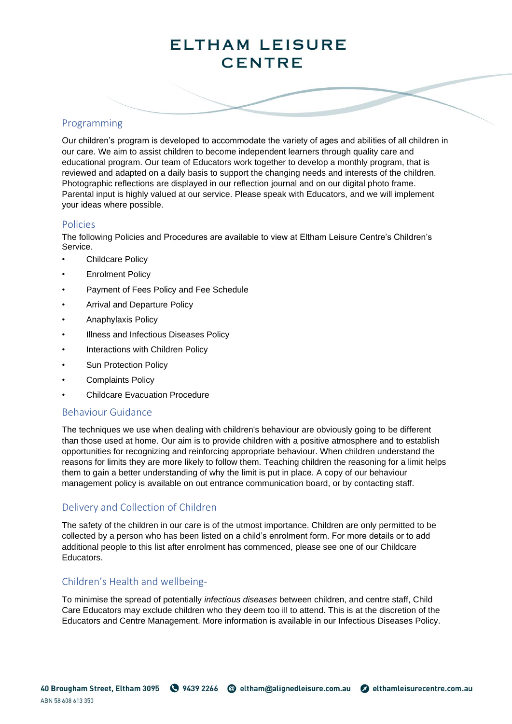# **ELTHAM LEISURE CENTRE**

# Programming

Our children's program is developed to accommodate the variety of ages and abilities of all children in our care. We aim to assist children to become independent learners through quality care and educational program. Our team of Educators work together to develop a monthly program, that is reviewed and adapted on a daily basis to support the changing needs and interests of the children. Photographic reflections are displayed in our reflection journal and on our digital photo frame. Parental input is highly valued at our service. Please speak with Educators, and we will implement your ideas where possible.

### Policies

The following Policies and Procedures are available to view at Eltham Leisure Centre's Children's Service.

- Childcare Policy
- **Enrolment Policy**
- Payment of Fees Policy and Fee Schedule
- Arrival and Departure Policy
- Anaphylaxis Policy
- Illness and Infectious Diseases Policy
- Interactions with Children Policy
- Sun Protection Policy
- Complaints Policy
- Childcare Evacuation Procedure

### Behaviour Guidance

The techniques we use when dealing with children's behaviour are obviously going to be different than those used at home. Our aim is to provide children with a positive atmosphere and to establish opportunities for recognizing and reinforcing appropriate behaviour. When children understand the reasons for limits they are more likely to follow them. Teaching children the reasoning for a limit helps them to gain a better understanding of why the limit is put in place. A copy of our behaviour management policy is available on out entrance communication board, or by contacting staff.

# Delivery and Collection of Children

The safety of the children in our care is of the utmost importance. Children are only permitted to be collected by a person who has been listed on a child's enrolment form. For more details or to add additional people to this list after enrolment has commenced, please see one of our Childcare Educators.

# Children's Health and wellbeing-

To minimise the spread of potentially *infectious diseases* between children, and centre staff, Child Care Educators may exclude children who they deem too ill to attend. This is at the discretion of the Educators and Centre Management. More information is available in our Infectious Diseases Policy.